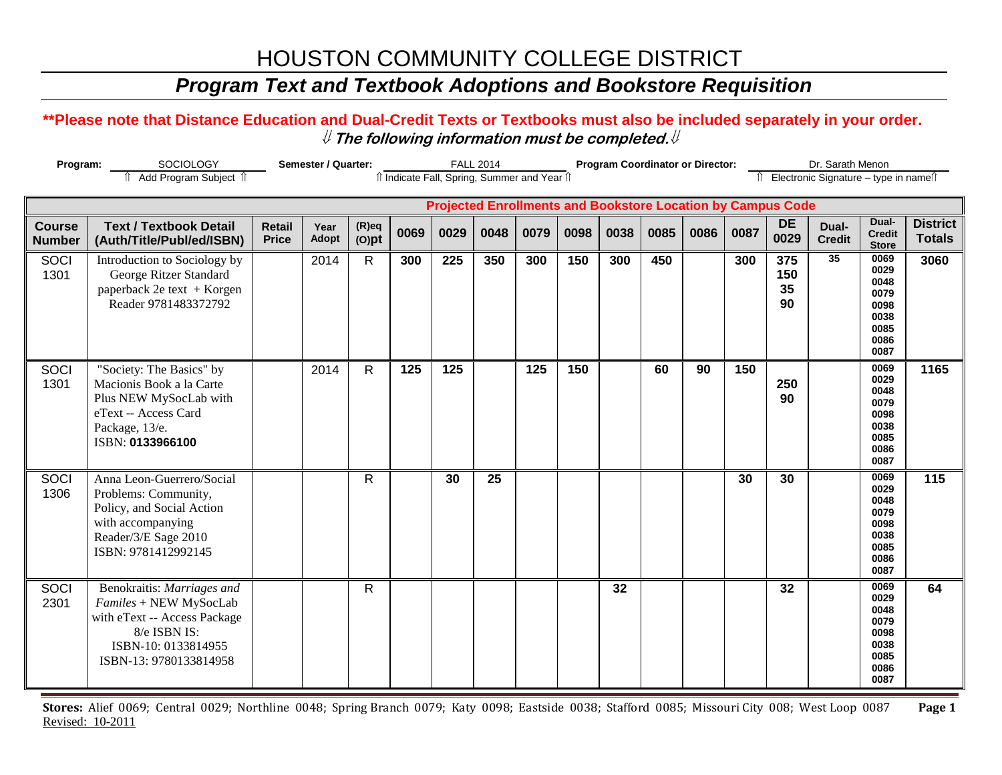# HOUSTON COMMUNITY COLLEGE DISTRICT

## *Program Text and Textbook Adoptions and Bookstore Requisition*

### **\*\*Please note that Distance Education and Dual-Credit Texts or Textbooks must also be included separately in your order.**  ⇓ **The following information must be completed.**⇓

| Program:                                                                                                          |                                                                                                                                                       | Semester / Quarter:           |               | <b>FALL 2014</b>     |                  |      |      |      | <b>Program Coordinator or Director:</b> |      |      | Dr. Sarath Menon |      |                        |                        |                                                                      |                                  |
|-------------------------------------------------------------------------------------------------------------------|-------------------------------------------------------------------------------------------------------------------------------------------------------|-------------------------------|---------------|----------------------|------------------|------|------|------|-----------------------------------------|------|------|------------------|------|------------------------|------------------------|----------------------------------------------------------------------|----------------------------------|
| Add Program Subject 1<br>îl Indicate Fall, Spring, Summer and Year îl<br>Îl Electronic Signature - type in nameîl |                                                                                                                                                       |                               |               |                      |                  |      |      |      |                                         |      |      |                  |      |                        |                        |                                                                      |                                  |
|                                                                                                                   | <b>Projected Enrollments and Bookstore Location by Campus Code</b>                                                                                    |                               |               |                      |                  |      |      |      |                                         |      |      |                  |      |                        |                        |                                                                      |                                  |
| <b>Course</b><br><b>Number</b>                                                                                    | <b>Text / Textbook Detail</b><br>(Auth/Title/Publ/ed/ISBN)                                                                                            | <b>Retail</b><br><b>Price</b> | Year<br>Adopt | $(R)$ eq<br>$(O)$ pt | 0069             | 0029 | 0048 | 0079 | 0098                                    | 0038 | 0085 | 0086             | 0087 | <b>DE</b><br>0029      | Dual-<br><b>Credit</b> | Dual-<br><b>Credit</b><br><b>Store</b>                               | <b>District</b><br><b>Totals</b> |
| SOCI<br>1301                                                                                                      | Introduction to Sociology by<br>George Ritzer Standard<br>paperback 2e text + Korgen<br>Reader 9781483372792                                          |                               | 2014          | $\mathsf{R}$         | 300              | 225  | 350  | 300  | 150                                     | 300  | 450  |                  | 300  | 375<br>150<br>35<br>90 | 35                     | 0069<br>0029<br>0048<br>0079<br>0098<br>0038<br>0085<br>0086<br>0087 | 3060                             |
| SOCI<br>1301                                                                                                      | "Society: The Basics" by<br>Macionis Book a la Carte<br>Plus NEW MySocLab with<br>eText -- Access Card<br>Package, 13/e.<br>ISBN: 0133966100          |                               | 2014          | $\mathsf{R}$         | $\overline{125}$ | 125  |      | 125  | 150                                     |      | 60   | 90               | 150  | 250<br>90              |                        | 0069<br>0029<br>0048<br>0079<br>0098<br>0038<br>0085<br>0086<br>0087 | 1165                             |
| <b>SOCI</b><br>1306                                                                                               | Anna Leon-Guerrero/Social<br>Problems: Community,<br>Policy, and Social Action<br>with accompanying<br>Reader/3/E Sage 2010<br>ISBN: 9781412992145    |                               |               | $\mathsf{R}$         |                  | 30   | 25   |      |                                         |      |      |                  | 30   | 30                     |                        | 0069<br>0029<br>0048<br>0079<br>0098<br>0038<br>0085<br>0086<br>0087 | 115                              |
| <b>SOCI</b><br>2301                                                                                               | Benokraitis: Marriages and<br>Familes + NEW MySocLab<br>with eText -- Access Package<br>8/e ISBN IS:<br>ISBN-10: 0133814955<br>ISBN-13: 9780133814958 |                               |               | R                    |                  |      |      |      |                                         | 32   |      |                  |      | 32                     |                        | 0069<br>0029<br>0048<br>0079<br>0098<br>0038<br>0085<br>0086<br>0087 | 64                               |

**Stores:** Alief 0069; Central 0029; Northline 0048; Spring Branch 0079; Katy 0098; Eastside 0038; Stafford 0085; Missouri City 008; West Loop 0087 **Page 1** Revised: 10-2011